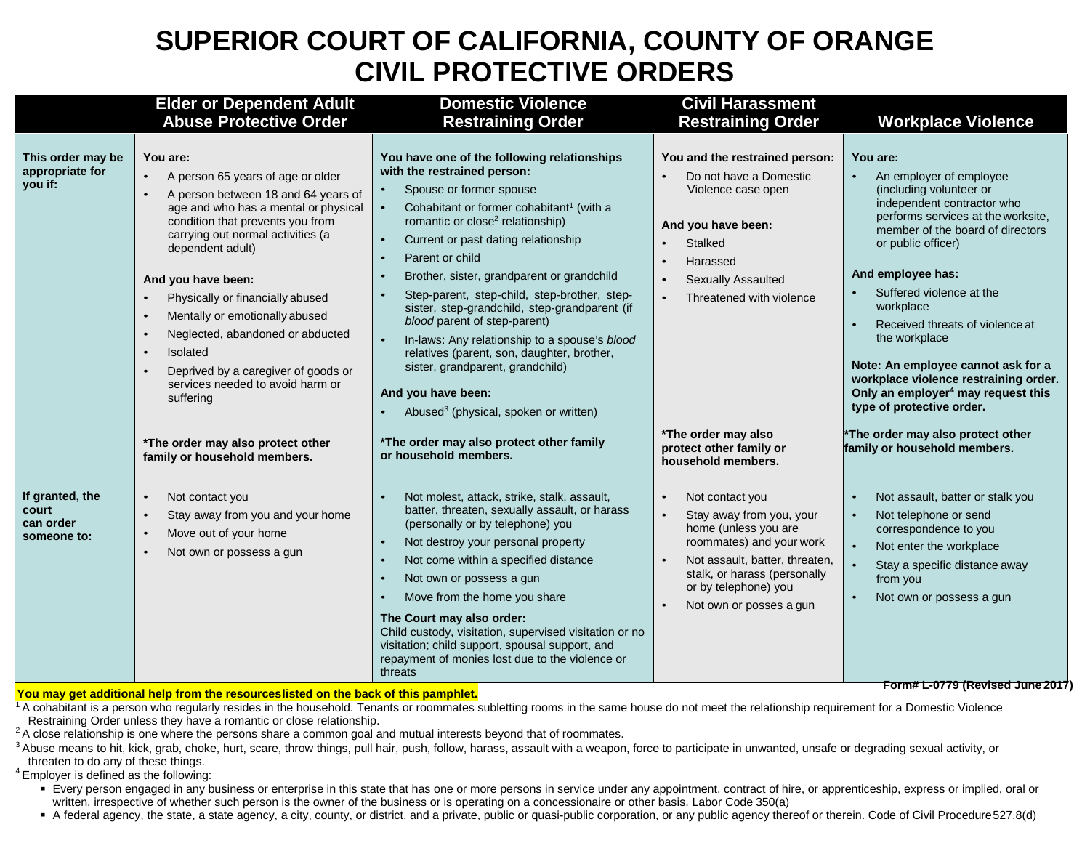## **SUPERIOR COURT OF CALIFORNIA, COUNTY OF ORANGE CIVIL PROTECTIVE ORDERS**

|                                                      | <b>Elder or Dependent Adult</b>                                                                                                                                                                                                                                                                                                                        | <b>Domestic Violence</b>                                                                                                                                                                                                                                                                                                                                                                                                                                                                        | <b>Civil Harassment</b>                                                                                                                                                                                              |                                                                                                                                                                                                                                                                                         |
|------------------------------------------------------|--------------------------------------------------------------------------------------------------------------------------------------------------------------------------------------------------------------------------------------------------------------------------------------------------------------------------------------------------------|-------------------------------------------------------------------------------------------------------------------------------------------------------------------------------------------------------------------------------------------------------------------------------------------------------------------------------------------------------------------------------------------------------------------------------------------------------------------------------------------------|----------------------------------------------------------------------------------------------------------------------------------------------------------------------------------------------------------------------|-----------------------------------------------------------------------------------------------------------------------------------------------------------------------------------------------------------------------------------------------------------------------------------------|
| This order may be<br>appropriate for<br>you if:      | <b>Abuse Protective Order</b><br>You are:<br>A person 65 years of age or older<br>A person between 18 and 64 years of<br>age and who has a mental or physical<br>condition that prevents you from<br>carrying out normal activities (a<br>dependent adult)<br>And you have been:<br>Physically or financially abused<br>Mentally or emotionally abused | <b>Restraining Order</b><br>You have one of the following relationships<br>with the restrained person:<br>Spouse or former spouse<br>Cohabitant or former cohabitant <sup>1</sup> (with a<br>$\bullet$<br>romantic or close <sup>2</sup> relationship)<br>Current or past dating relationship<br>$\bullet$<br>Parent or child<br>Brother, sister, grandparent or grandchild<br>Step-parent, step-child, step-brother, step-<br>sister, step-grandchild, step-grandparent (if                    | <b>Restraining Order</b><br>You and the restrained person:<br>Do not have a Domestic<br>Violence case open<br>And you have been:<br>Stalked<br>Harassed<br><b>Sexually Assaulted</b><br>Threatened with violence     | <b>Workplace Violence</b><br>You are:<br>An employer of employee<br>(including volunteer or<br>independent contractor who<br>performs services at the worksite,<br>member of the board of directors<br>or public officer)<br>And employee has:<br>Suffered violence at the<br>workplace |
|                                                      | Neglected, abandoned or abducted<br>Isolated<br>Deprived by a caregiver of goods or<br>services needed to avoid harm or<br>suffering<br>*The order may also protect other<br>family or household members.                                                                                                                                              | blood parent of step-parent)<br>In-laws: Any relationship to a spouse's blood<br>relatives (parent, son, daughter, brother,<br>sister, grandparent, grandchild)<br>And you have been:<br>Abused <sup>3</sup> (physical, spoken or written)<br>*The order may also protect other family<br>or household members.                                                                                                                                                                                 | *The order may also<br>protect other family or<br>household members.                                                                                                                                                 | Received threats of violence at<br>the workplace<br>Note: An employee cannot ask for a<br>workplace violence restraining order.<br>Only an employer <sup>4</sup> may request this<br>type of protective order.<br>*The order may also protect other<br>family or household members.     |
| If granted, the<br>court<br>can order<br>someone to: | Not contact you<br>Stay away from you and your home<br>Move out of your home<br>Not own or possess a gun                                                                                                                                                                                                                                               | Not molest, attack, strike, stalk, assault,<br>batter, threaten, sexually assault, or harass<br>(personally or by telephone) you<br>Not destroy your personal property<br>$\bullet$<br>Not come within a specified distance<br>Not own or possess a gun<br>Move from the home you share<br>The Court may also order:<br>Child custody, visitation, supervised visitation or no<br>visitation; child support, spousal support, and<br>repayment of monies lost due to the violence or<br>threats | Not contact you<br>Stay away from you, your<br>home (unless you are<br>roommates) and your work<br>Not assault, batter, threaten,<br>stalk, or harass (personally<br>or by telephone) you<br>Not own or posses a gun | Not assault, batter or stalk you<br>Not telephone or send<br>correspondence to you<br>Not enter the workplace<br>Stay a specific distance away<br>from you<br>Not own or possess a gun<br>1017 Form# L-0779 (Revised .lune                                                              |

**You may get additional help from the resourceslisted on the back of this pamphlet.** 

 $1$ A cohabitant is a person who regularly resides in the household. Tenants or roommates subletting rooms in the same house do not meet the relationship requirement for a Domestic Violence Restraining Order unless they ha

<sup>2</sup> A close relationship is one where the persons share a common goal and mutual interests beyond that of roommates.

<sup>3</sup> Abuse means to hit, kick, grab, choke, hurt, scare, throw things, pull hair, push, follow, harass, assault with a weapon, force to participate in unwanted, unsafe or degrading sexual activity, or threaten to do any of

 $4$  Employer is defined as the following:

■ Every person engaged in any business or enterprise in this state that has one or more persons in service under any appointment, contract of hire, or apprenticeship, express or implied, oral or written, irrespective of whether such person is the owner of the business or is operating on a concessionaire or other basis. Labor Code 350(a)

A federal agency, the state, a state agency, a city, county, or district, and a private, public or quasi-public corporation, or any public agency thereof or therein. Code of Civil Procedure527.8(d)